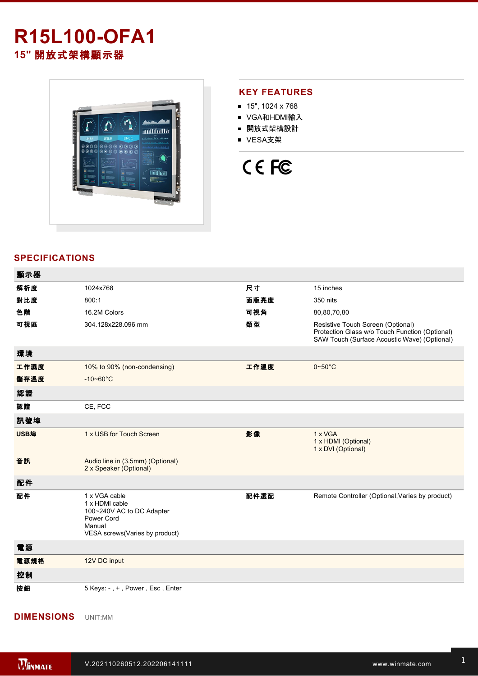## **R15L100-OFA1 15"** 開放式架構顯示器



## **KEY FEATURES**

- 15", 1024 x 768
- VGA和HDMI輸入
- 開放式架構設計
- VESA支架



## **SPECIFICATIONS**

| 顯示器  |                                                                                                                        |      |                                                                                                                                     |
|------|------------------------------------------------------------------------------------------------------------------------|------|-------------------------------------------------------------------------------------------------------------------------------------|
| 解析度  | 1024x768                                                                                                               | 尺寸   | 15 inches                                                                                                                           |
| 對比度  | 800:1                                                                                                                  | 面版亮度 | 350 nits                                                                                                                            |
| 色階   | 16.2M Colors                                                                                                           | 可視角  | 80,80,70,80                                                                                                                         |
| 可視區  | 304.128x228.096 mm                                                                                                     | 類型   | Resistive Touch Screen (Optional)<br>Protection Glass w/o Touch Function (Optional)<br>SAW Touch (Surface Acoustic Wave) (Optional) |
| 環境   |                                                                                                                        |      |                                                                                                                                     |
| 工作濕度 | 10% to 90% (non-condensing)                                                                                            | 工作溫度 | $0 - 50$ °C                                                                                                                         |
| 儲存溫度 | $-10 - 60^{\circ}C$                                                                                                    |      |                                                                                                                                     |
| 認證   |                                                                                                                        |      |                                                                                                                                     |
| 認證   | CE, FCC                                                                                                                |      |                                                                                                                                     |
| 訊號埠  |                                                                                                                        |      |                                                                                                                                     |
| USB埠 | 1 x USB for Touch Screen                                                                                               | 影像   | 1 x VGA<br>1 x HDMI (Optional)<br>1 x DVI (Optional)                                                                                |
| 音訊   | Audio line in (3.5mm) (Optional)<br>2 x Speaker (Optional)                                                             |      |                                                                                                                                     |
| 配件   |                                                                                                                        |      |                                                                                                                                     |
| 配件   | 1 x VGA cable<br>1 x HDMI cable<br>100~240V AC to DC Adapter<br>Power Cord<br>Manual<br>VESA screws(Varies by product) | 配件選配 | Remote Controller (Optional, Varies by product)                                                                                     |
| 電源   |                                                                                                                        |      |                                                                                                                                     |
| 電源規格 | 12V DC input                                                                                                           |      |                                                                                                                                     |
| 控制   |                                                                                                                        |      |                                                                                                                                     |
| 按鈕   | 5 Keys: -, +, Power, Esc, Enter                                                                                        |      |                                                                                                                                     |

**DIMENSIONS**  UNIT:MM